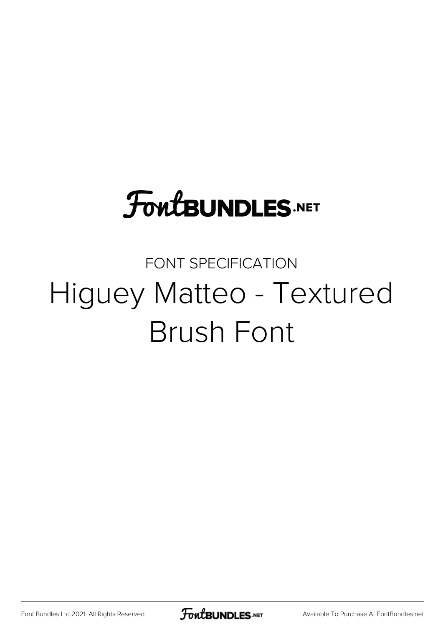## **FoutBUNDLES.NET**

## FONT SPECIFICATION Higuey Matteo - Textured Brush Font

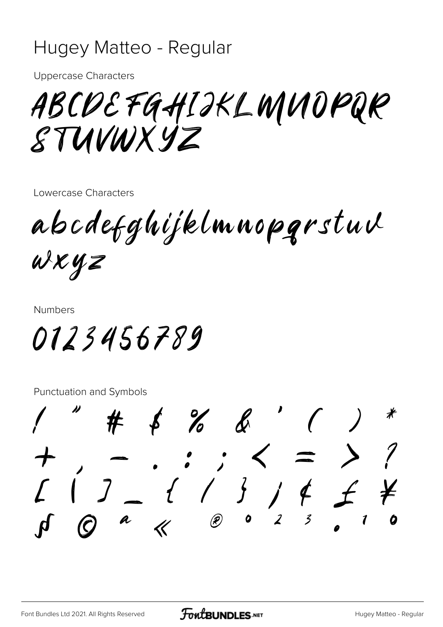## Hugey Matteo - Regular

**Uppercase Characters** 

ABCOEFGHIJKLWNOPQR STUVWXYZ

Lowercase Characters

abcdefghijklmnopgrstuv  $uxyz$ 

**Numbers** 

0123456789

**Punctuation and Symbols** 

 $%$  $3 \text{ if } j \neq j \neq k$  $\alpha$   $\alpha$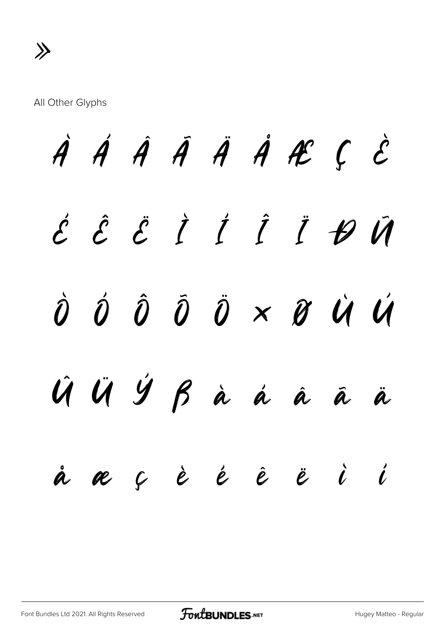All Other Glyphs

À Á Â Ã Ä Å Æ Ç È É Ê Ë Ì Í Î Ï Ð Ñ Ò Ó Ô Õ Ö × Ø Ù Ú Û Ü Ý ß à á â ã ä å æ ç è é ê ë ì í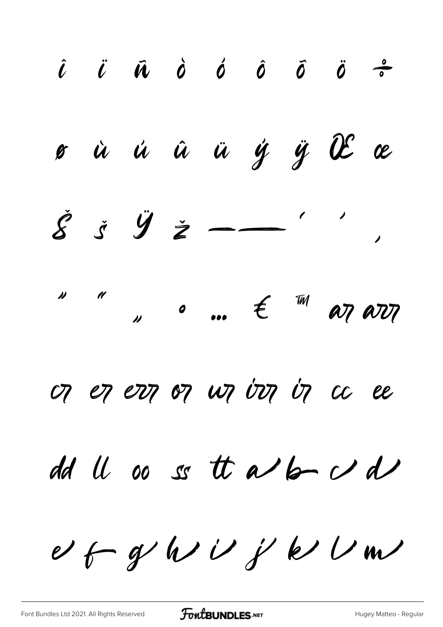$\hat{\iota}$   $\ddot{\iota}$   $\vec{n}$   $\dot{\omicron}$   $\acute{o}$   $\ddot{\omicron}$   $\ddot{\omicron}$   $\ddot{\omicron}$   $\ddot{\omicron}$ ø ù ú û ü ý ÿ Œ œ  $\begin{array}{ccccc} \text{N} & \text{N} & \text{N} & \text{N} & \text{N} & \text{N} & \text{N} & \text{N} & \text{N} & \text{N} & \text{N} & \text{N} & \text{N} & \text{N} & \text{N} & \text{N} & \text{N} & \text{N} & \text{N} & \text{N} & \text{N} & \text{N} & \text{N} & \text{N} & \text{N} & \text{N} & \text{N} & \text{N} & \text{N} & \text{N} & \text{N} & \text{N} & \text{N} & \text{N} & \text{N} & \text$ OT ET ETT OT WT UT UT UT CC EE dd U oo ss tt a bo dd  $\upsilon$  fr g/h/i/j/k/ $\upsilon$ m/